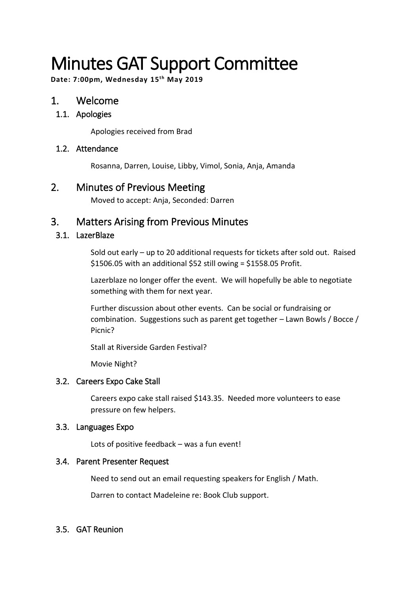# Minutes GAT Support Committee

**Date: 7:00pm, Wednesday 15th May 2019**

# 1. Welcome

#### 1.1. Apologies

Apologies received from Brad

#### 1.2. Attendance

Rosanna, Darren, Louise, Libby, Vimol, Sonia, Anja, Amanda

# 2. Minutes of Previous Meeting

Moved to accept: Anja, Seconded: Darren

# 3. Matters Arising from Previous Minutes

#### 3.1. LazerBlaze

Sold out early – up to 20 additional requests for tickets after sold out. Raised \$1506.05 with an additional \$52 still owing = \$1558.05 Profit.

Lazerblaze no longer offer the event. We will hopefully be able to negotiate something with them for next year.

Further discussion about other events. Can be social or fundraising or combination. Suggestions such as parent get together – Lawn Bowls / Bocce / Picnic?

Stall at Riverside Garden Festival?

Movie Night?

#### 3.2. Careers Expo Cake Stall

Careers expo cake stall raised \$143.35. Needed more volunteers to ease pressure on few helpers.

#### 3.3. Languages Expo

Lots of positive feedback – was a fun event!

#### 3.4. Parent Presenter Request

Need to send out an email requesting speakers for English / Math.

Darren to contact Madeleine re: Book Club support.

#### 3.5. GAT Reunion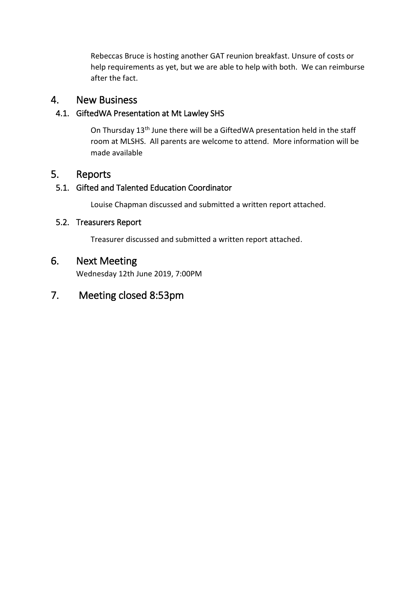Rebeccas Bruce is hosting another GAT reunion breakfast. Unsure of costs or help requirements as yet, but we are able to help with both. We can reimburse after the fact.

#### 4. New Business

#### 4.1. GiftedWA Presentation at Mt Lawley SHS

On Thursday 13th June there will be a GiftedWA presentation held in the staff room at MLSHS. All parents are welcome to attend. More information will be made available

# 5. Reports

#### 5.1. Gifted and Talented Education Coordinator

Louise Chapman discussed and submitted a written report attached.

#### 5.2. Treasurers Report

Treasurer discussed and submitted a written report attached.

# 6. Next Meeting

Wednesday 12th June 2019, 7:00PM

# 7. Meeting closed 8:53pm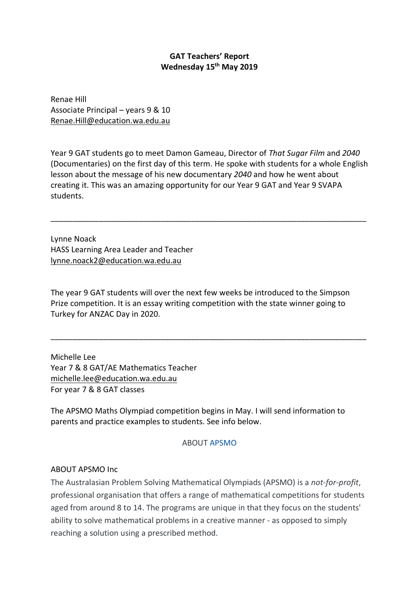#### **GAT Teachers' Report Wednesday 15th May 2019**

Renae Hill Associate Principal – years 9 & 10 Renae.Hill@education.wa.edu.au

Year 9 GAT students go to meet Damon Gameau, Director of *That Sugar Film* and *2040* (Documentaries) on the first day of this term. He spoke with students for a whole English lesson about the message of his new documentary *2040* and how he went about creating it. This was an amazing opportunity for our Year 9 GAT and Year 9 SVAPA students.

\_\_\_\_\_\_\_\_\_\_\_\_\_\_\_\_\_\_\_\_\_\_\_\_\_\_\_\_\_\_\_\_\_\_\_\_\_\_\_\_\_\_\_\_\_\_\_\_\_\_\_\_\_\_\_\_\_\_\_\_\_\_\_\_\_\_\_\_\_\_\_\_

Lynne Noack HASS Learning Area Leader and Teacher lynne.noack2@education.wa.edu.au

The year 9 GAT students will over the next few weeks be introduced to the Simpson Prize competition. It is an essay writing competition with the state winner going to Turkey for ANZAC Day in 2020.

\_\_\_\_\_\_\_\_\_\_\_\_\_\_\_\_\_\_\_\_\_\_\_\_\_\_\_\_\_\_\_\_\_\_\_\_\_\_\_\_\_\_\_\_\_\_\_\_\_\_\_\_\_\_\_\_\_\_\_\_\_\_\_\_\_\_\_\_\_\_\_\_

Michelle Lee Year 7 & 8 GAT/AE Mathematics Teacher michelle.lee@education.wa.edu.au For year 7 & 8 GAT classes

The APSMO Maths Olympiad competition begins in May. I will send information to parents and practice examples to students. See info below.

#### ABOUT APSMO

#### ABOUT APSMO Inc

The Australasian Problem Solving Mathematical Olympiads (APSMO) is a *not-for-profit*, professional organisation that offers a range of mathematical competitions for students aged from around 8 to 14. The programs are unique in that they focus on the students' ability to solve mathematical problems in a creative manner - as opposed to simply reaching a solution using a prescribed method.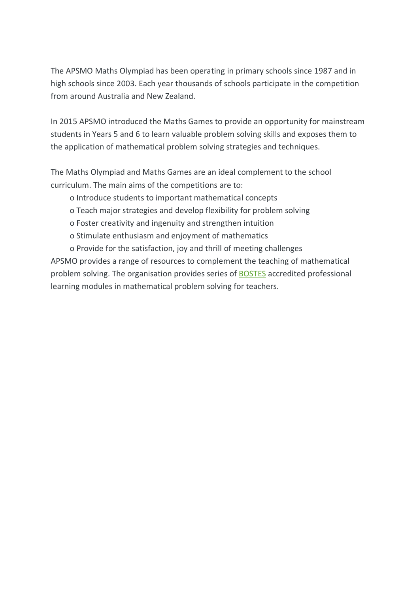The APSMO Maths Olympiad has been operating in primary schools since 1987 and in high schools since 2003. Each year thousands of schools participate in the competition from around Australia and New Zealand.

In 2015 APSMO introduced the Maths Games to provide an opportunity for mainstream students in Years 5 and 6 to learn valuable problem solving skills and exposes them to the application of mathematical problem solving strategies and techniques.

The Maths Olympiad and Maths Games are an ideal complement to the school curriculum. The main aims of the competitions are to:

o Introduce students to important mathematical concepts

o Teach major strategies and develop flexibility for problem solving

- o Foster creativity and ingenuity and strengthen intuition
- o Stimulate enthusiasm and enjoyment of mathematics

o Provide for the satisfaction, joy and thrill of meeting challenges APSMO provides a range of resources to complement the teaching of mathematical problem solving. The organisation provides series of BOSTES accredited professional learning modules in mathematical problem solving for teachers.